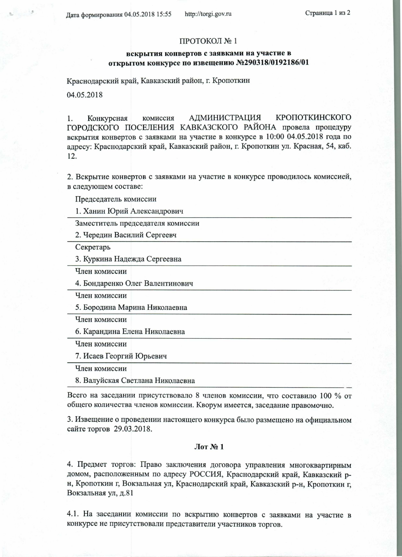Дата формирования 04.05.2018 15:55

http://torgi.gov.ru

## ПРОТОКОЛ №1

## вскрытия конвертов с заявками на участие в открытом конкурсе по извещению №290318/0192186/01

Краснодарский край, Кавказский район, г. Кропоткин

04.05.2018

**АДМИНИСТРАЦИЯ** КРОПОТКИНСКОГО Конкурсная комиссия 1. ГОРОДСКОГО ПОСЕЛЕНИЯ КАВКАЗСКОГО РАЙОНА провела процедуру вскрытия конвертов с заявками на участие в конкурсе в 10:00 04.05.2018 года по адресу: Краснодарский край, Кавказский район, г. Кропоткин ул. Красная, 54, каб. 12.

2. Вскрытие конвертов с заявками на участие в конкурсе проводилось комиссией, в следующем составе:

Председатель комиссии

1. Ханин Юрий Александрович

Заместитель председателя комиссии

2. Чередин Василий Сергеевч

Секретарь

3. Куркина Надежда Сергеевна

Член комиссии

4. Бондаренко Олег Валентинович

Член комиссии

5. Бородина Марина Николаевна

Член комиссии

6. Карандина Елена Николаевна

Член комиссии

7. Исаев Георгий Юрьевич

Член комиссии

8. Валуйская Светлана Николаевна

Всего на заседании присутствовало 8 членов комиссии, что составило 100 % от общего количества членов комиссии. Кворум имеется, заседание правомочно.

3. Извещение о проведении настоящего конкурса было размещено на официальном сайте торгов 29.03.2018.

## $J$ Ют № 1

4. Предмет торгов: Право заключения договора управления многоквартирным домом, расположенным по адресу РОССИЯ, Краснодарский край, Кавказский рн, Кропоткин г, Вокзальная ул, Краснодарский край, Кавказский р-н, Кропоткин г, Вокзальная ул, д.81

4.1. На заседании комиссии по вскрытию конвертов с заявками на участие в конкурсе не присутствовали представители участников торгов.